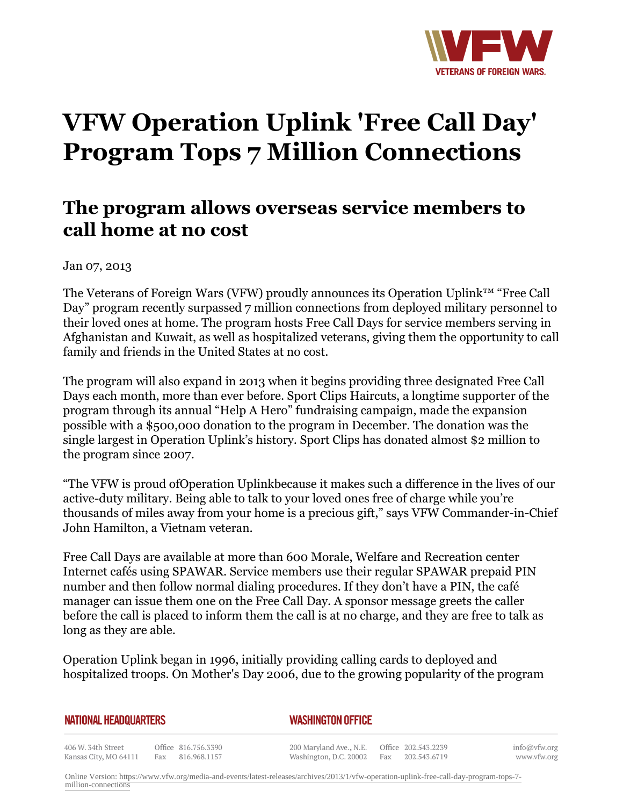

## **VFW Operation Uplink 'Free Call Day' Program Tops 7 Million Connections**

## **The program allows overseas service members to call home at no cost**

Jan 07, 2013

The Veterans of Foreign Wars (VFW) proudly announces its Operation Uplink™ "Free Call Day" program recently surpassed 7 million connections from deployed military personnel to their loved ones at home. The program hosts Free Call Days for service members serving in Afghanistan and Kuwait, as well as hospitalized veterans, giving them the opportunity to call family and friends in the United States at no cost.

The program will also expand in 2013 when it begins providing three designated Free Call Days each month, more than ever before. Sport Clips Haircuts, a longtime supporter of the program through its annual "Help A Hero" fundraising campaign, made the expansion possible with a \$500,000 donation to the program in December. The donation was the single largest in Operation Uplink's history. Sport Clips has donated almost \$2 million to the program since 2007.

"The VFW is proud ofOperation Uplinkbecause it makes such a difference in the lives of our active-duty military. Being able to talk to your loved ones free of charge while you're thousands of miles away from your home is a precious gift," says VFW Commander-in-Chief John Hamilton, a Vietnam veteran.

Free Call Days are available at more than 600 Morale, Welfare and Recreation center Internet cafés using SPAWAR. Service members use their regular SPAWAR prepaid PIN number and then follow normal dialing procedures. If they don't have a PIN, the café manager can issue them one on the Free Call Day. A sponsor message greets the caller before the call is placed to inform them the call is at no charge, and they are free to talk as long as they are able.

Operation Uplink began in 1996, initially providing calling cards to deployed and hospitalized troops. On Mother's Day 2006, due to the growing popularity of the program

## *WASHINGTON OFFICE*

406 W. 34th Street Office 816.756.3390 Kansas City, MO 64111 Fax 816.968.1157

200 Maryland Ave., N.E. Washington, D.C. 20002

Office 202.543.2239 Fax 202.543.6719 info@vfw.org www.vfw.org